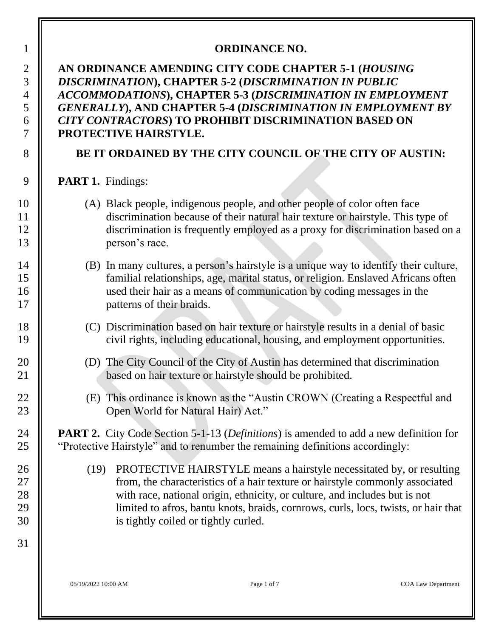#### **ORDINANCE NO.**

#### **AN ORDINANCE AMENDING CITY CODE CHAPTER 5-1 (***HOUSING DISCRIMINATION***), CHAPTER 5-2 (***DISCRIMINATION IN PUBLIC ACCOMMODATIONS***), CHAPTER 5-3 (***DISCRIMINATION IN EMPLOYMENT GENERALLY***), AND CHAPTER 5-4 (***DISCRIMINATION IN EMPLOYMENT BY CITY CONTRACTORS***) TO PROHIBIT DISCRIMINATION BASED ON PROTECTIVE HAIRSTYLE.**

#### **BE IT ORDAINED BY THE CITY COUNCIL OF THE CITY OF AUSTIN:**

**PART 1.** Findings:

- (A) Black people, indigenous people, and other people of color often face discrimination because of their natural hair texture or hairstyle. This type of discrimination is frequently employed as a proxy for discrimination based on a **person's race.**
- (B) In many cultures, a person's hairstyle is a unique way to identify their culture, familial relationships, age, marital status, or religion. Enslaved Africans often used their hair as a means of communication by coding messages in the **||** patterns of their braids.
- (C) Discrimination based on hair texture or hairstyle results in a denial of basic civil rights, including educational, housing, and employment opportunities.
- (D) The City Council of the City of Austin has determined that discrimination **based on hair texture or hairstyle should be prohibited.**
- (E) This ordinance is known as the "Austin CROWN (Creating a Respectful and **Open World for Natural Hair)** Act."

 **PART 2.** City Code Section 5-1-13 (*Definitions*) is amended to add a new definition for **|** "Protective Hairstyle" and to renumber the remaining definitions accordingly:

26 (19) PROTECTIVE HAIRSTYLE means a hairstyle necessitated by, or resulting from, the characteristics of a hair texture or hairstyle commonly associated 28 With race, national origin, ethnicity, or culture, and includes but is not limited to afros, bantu knots, braids, cornrows, curls, locs, twists, or hair that **is tightly coiled or tightly curled.** 

05/19/2022 10:00 AM Page 1 of 7 COA Law Department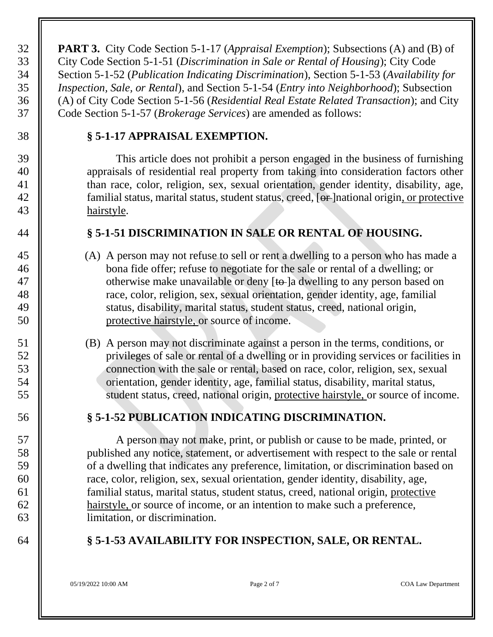**PART 3.** City Code Section 5-1-17 (*Appraisal Exemption*); Subsections (A) and (B) of City Code Section 5-1-51 (*Discrimination in Sale or Rental of Housing*); City Code Section 5-1-52 (*Publication Indicating Discrimination*), Section 5-1-53 (*Availability for Inspection, Sale, or Rental*), and Section 5-1-54 (*Entry into Neighborhood*); Subsection (A) of City Code Section 5-1-56 (*Residential Real Estate Related Transaction*); and City Code Section 5-1-57 (*Brokerage Services*) are amended as follows:

#### **§ 5-1-17 APPRAISAL EXEMPTION.**

 This article does not prohibit a person engaged in the business of furnishing **appraisals of residential real property from taking into consideration factors other than race, color, religion, sex, sexual orientation, gender identity, disability, age,**  $\parallel$  familial status, marital status, student status, creed, [or ]national origin, or protective hairstyle.

#### **§ 5-1-51 DISCRIMINATION IN SALE OR RENTAL OF HOUSING.**

- 45 (A) A person may not refuse to sell or rent a dwelling to a person who has made a **bona** fide offer; refuse to negotiate for the sale or rental of a dwelling; or 47  $\parallel$  otherwise make unavailable or deny  $\lceil \theta \rceil$  dwelling to any person based on 48  $\parallel$  race, color, religion, sex, sexual orientation, gender identity, age, familial 49 | status, disability, marital status, student status, creed, national origin, protective hairstyle, or source of income.
- (B) A person may not discriminate against a person in the terms, conditions, or privileges of sale or rental of a dwelling or in providing services or facilities in connection with the sale or rental, based on race, color, religion, sex, sexual orientation, gender identity, age, familial status, disability, marital status, 55  $\parallel$  student status, creed, national origin, protective hairstyle, or source of income.

# **§ 5-1-52 PUBLICATION INDICATING DISCRIMINATION.**

 A person may not make, print, or publish or cause to be made, printed, or published any notice, statement, or advertisement with respect to the sale or rental of a dwelling that indicates any preference, limitation, or discrimination based on race, color, religion, sex, sexual orientation, gender identity, disability, age, familial status, marital status, student status, creed, national origin, protective hairstyle, or source of income, or an intention to make such a preference, limitation, or discrimination.

# **§ 5-1-53 AVAILABILITY FOR INSPECTION, SALE, OR RENTAL.**

05/19/2022 10:00 AM Page 2 of 7 COA Law Department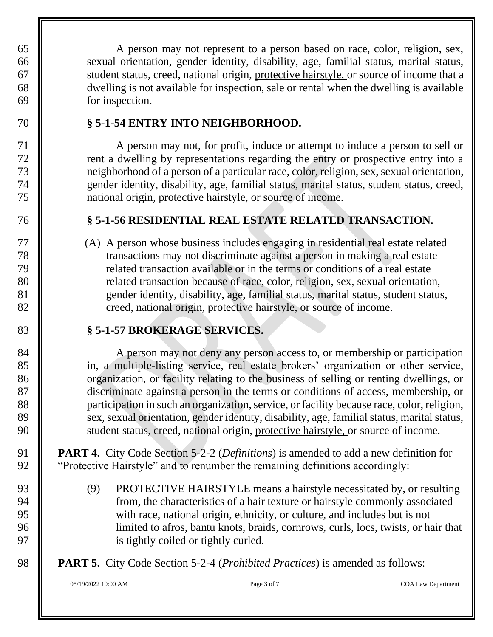A person may not represent to a person based on race, color, religion, sex, 66 sexual orientation, gender identity, disability, age, familial status, marital status, student status, creed, national origin, protective hairstyle, or source of income that a dwelling is not available for inspection, sale or rental when the dwelling is available for inspection.

### **§ 5-1-54 ENTRY INTO NEIGHBORHOOD.**

 A person may not, for profit, induce or attempt to induce a person to sell or rent a dwelling by representations regarding the entry or prospective entry into a neighborhood of a person of a particular race, color, religion, sex, sexual orientation, gender identity, disability, age, familial status, marital status, student status, creed, national origin, protective hairstyle, or source of income.

# **§ 5-1-56 RESIDENTIAL REAL ESTATE RELATED TRANSACTION.**

 (A) A person whose business includes engaging in residential real estate related transactions may not discriminate against a person in making a real estate related transaction available or in the terms or conditions of a real estate **||** related transaction because of race, color, religion, sex, sexual orientation, gender identity, disability, age, familial status, marital status, student status, 82 | creed, national origin, protective hairstyle, or source of income.

# **§ 5-1-57 BROKERAGE SERVICES.**

84 A person may not deny any person access to, or membership or participation in, a multiple-listing service, real estate brokers' organization or other service, 86 Solution, or facility relating to the business of selling or renting dwellings, or discriminate against a person in the terms or conditions of access, membership, or **||** participation in such an organization, service, or facility because race, color, religion, 89 Sex, sexual orientation, gender identity, disability, age, familial status, marital status, 90 Student status, creed, national origin, protective hairstyle, or source of income.

 **PART 4.** City Code Section 5-2-2 (*Definitions*) is amended to add a new definition for **W** "Protective Hairstyle" and to renumber the remaining definitions accordingly:

93 (9) PROTECTIVE HAIRSTYLE means a hairstyle necessitated by, or resulting  $\parallel$  from, the characteristics of a hair texture or hairstyle commonly associated with race, national origin, ethnicity, or culture, and includes but is not limited to afros, bantu knots, braids, cornrows, curls, locs, twists, or hair that **is tightly coiled or tightly curled.** 

**PART 5.** City Code Section 5-2-4 (*Prohibited Practices*) is amended as follows: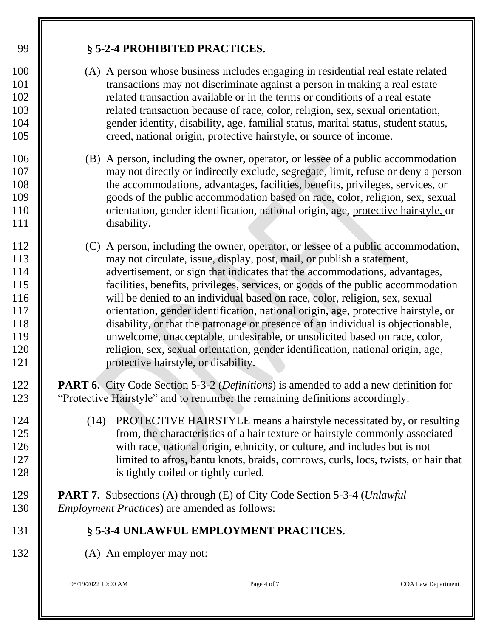05/19/2022 10:00 AM Page 4 of 7 COA Law Department **§ 5-2-4 PROHIBITED PRACTICES.** (A) A person whose business includes engaging in residential real estate related transactions may not discriminate against a person in making a real estate **i** related transaction available or in the terms or conditions of a real estate related transaction because of race, color, religion, sex, sexual orientation, gender identity, disability, age, familial status, marital status, student status, **creed**, national origin, protective hairstyle, or source of income. (B) A person, including the owner, operator, or lessee of a public accommodation may not directly or indirectly exclude, segregate, limit, refuse or deny a person the accommodations, advantages, facilities, benefits, privileges, services, or goods of the public accommodation based on race, color, religion, sex, sexual **I** orientation, gender identification, national origin, age, protective hairstyle, or **disability.**  (C) A person, including the owner, operator, or lessee of a public accommodation, **I** may not circulate, issue, display, post, mail, or publish a statement, **a**dvertisement, or sign that indicates that the accommodations, advantages, facilities, benefits, privileges, services, or goods of the public accommodation 116 will be denied to an individual based on race, color, religion, sex, sexual **I** orientation, gender identification, national origin, age, protective hairstyle, or disability, or that the patronage or presence of an individual is objectionable, unwelcome, unacceptable, undesirable, or unsolicited based on race, color, **||** religion, sex, sexual orientation, gender identification, national origin, age, protective hairstyle, or disability. **PART 6.** City Code Section 5-3-2 (*Definitions*) is amended to add a new definition for "Protective Hairstyle" and to renumber the remaining definitions accordingly: 124 (14) PROTECTIVE HAIRSTYLE means a hairstyle necessitated by, or resulting from, the characteristics of a hair texture or hairstyle commonly associated 126 With race, national origin, ethnicity, or culture, and includes but is not 127 limited to a fros, bantu knots, braids, cornrows, curls, locs, twists, or hair that **is tightly coiled or tightly curled. PART 7.** Subsections (A) through (E) of City Code Section 5-3-4 (*Unlawful Employment Practices*) are amended as follows: **§ 5-3-4 UNLAWFUL EMPLOYMENT PRACTICES.** 132 (A) An employer may not: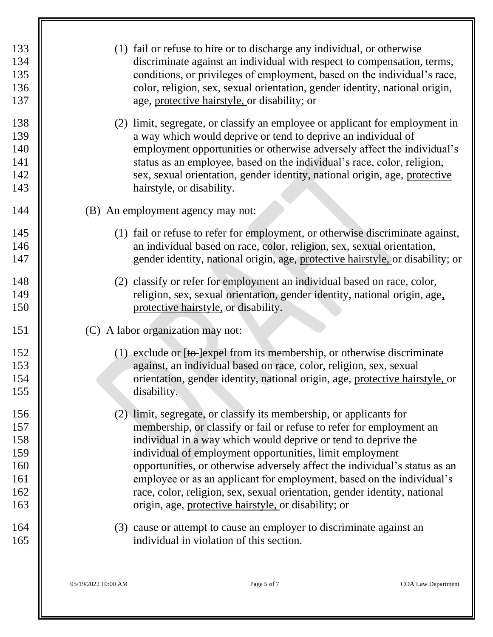| 133<br>134<br>135<br>136<br>137<br>138<br>139<br>140<br>141<br>142 |                     | (1) fail or refuse to hire or to discharge any individual, or otherwise<br>discriminate against an individual with respect to compensation, terms,<br>conditions, or privileges of employment, based on the individual's race,<br>color, religion, sex, sexual orientation, gender identity, national origin,<br>age, protective hairstyle, or disability; or<br>(2) limit, segregate, or classify an employee or applicant for employment in<br>a way which would deprive or tend to deprive an individual of<br>employment opportunities or otherwise adversely affect the individual's<br>status as an employee, based on the individual's race, color, religion,<br>sex, sexual orientation, gender identity, national origin, age, protective |                           |
|--------------------------------------------------------------------|---------------------|----------------------------------------------------------------------------------------------------------------------------------------------------------------------------------------------------------------------------------------------------------------------------------------------------------------------------------------------------------------------------------------------------------------------------------------------------------------------------------------------------------------------------------------------------------------------------------------------------------------------------------------------------------------------------------------------------------------------------------------------------|---------------------------|
| 143                                                                |                     | hairstyle, or disability.                                                                                                                                                                                                                                                                                                                                                                                                                                                                                                                                                                                                                                                                                                                          |                           |
| 144                                                                |                     | (B) An employment agency may not:                                                                                                                                                                                                                                                                                                                                                                                                                                                                                                                                                                                                                                                                                                                  |                           |
| 145<br>146<br>147                                                  |                     | (1) fail or refuse to refer for employment, or otherwise discriminate against,<br>an individual based on race, color, religion, sex, sexual orientation,<br>gender identity, national origin, age, protective hairstyle, or disability; or                                                                                                                                                                                                                                                                                                                                                                                                                                                                                                         |                           |
| 148<br>149<br>150                                                  |                     | (2) classify or refer for employment an individual based on race, color,<br>religion, sex, sexual orientation, gender identity, national origin, age,<br>protective hairstyle, or disability.                                                                                                                                                                                                                                                                                                                                                                                                                                                                                                                                                      |                           |
| 151                                                                |                     | (C) A labor organization may not:                                                                                                                                                                                                                                                                                                                                                                                                                                                                                                                                                                                                                                                                                                                  |                           |
| 152<br>153<br>154<br>155                                           |                     | (1) exclude or $[to]$ expel from its membership, or otherwise discriminate<br>against, an individual based on race, color, religion, sex, sexual<br>orientation, gender identity, national origin, age, protective hairstyle, or<br>disability.                                                                                                                                                                                                                                                                                                                                                                                                                                                                                                    |                           |
| 156<br>157<br>158<br>159<br>160<br>161<br>162<br>163               |                     | (2) limit, segregate, or classify its membership, or applicants for<br>membership, or classify or fail or refuse to refer for employment an<br>individual in a way which would deprive or tend to deprive the<br>individual of employment opportunities, limit employment<br>opportunities, or otherwise adversely affect the individual's status as an<br>employee or as an applicant for employment, based on the individual's<br>race, color, religion, sex, sexual orientation, gender identity, national<br>origin, age, protective hairstyle, or disability; or                                                                                                                                                                              |                           |
| 164<br>165                                                         |                     | (3) cause or attempt to cause an employer to discriminate against an<br>individual in violation of this section.                                                                                                                                                                                                                                                                                                                                                                                                                                                                                                                                                                                                                                   |                           |
|                                                                    | 05/19/2022 10:00 AM | Page 5 of 7                                                                                                                                                                                                                                                                                                                                                                                                                                                                                                                                                                                                                                                                                                                                        | <b>COA Law Department</b> |

 $\overline{\mathbb{F}}$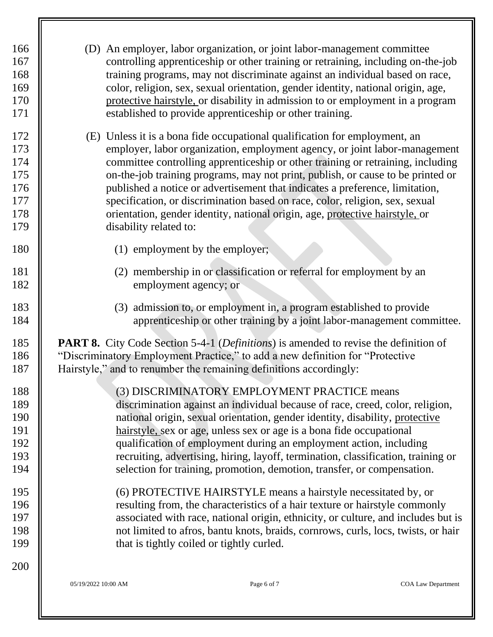| 166<br>167<br>168<br>169<br>170<br>171               |                                 | (D) An employer, labor organization, or joint labor-management committee<br>controlling apprenticeship or other training or retraining, including on-the-job<br>training programs, may not discriminate against an individual based on race,<br>color, religion, sex, sexual orientation, gender identity, national origin, age,<br>protective hairstyle, or disability in admission to or employment in a program<br>established to provide apprenticeship or other training.                                                                                                 |                           |
|------------------------------------------------------|---------------------------------|--------------------------------------------------------------------------------------------------------------------------------------------------------------------------------------------------------------------------------------------------------------------------------------------------------------------------------------------------------------------------------------------------------------------------------------------------------------------------------------------------------------------------------------------------------------------------------|---------------------------|
| 172<br>173<br>174<br>175<br>176<br>177<br>178<br>179 | disability related to:          | (E) Unless it is a bona fide occupational qualification for employment, an<br>employer, labor organization, employment agency, or joint labor-management<br>committee controlling apprenticeship or other training or retraining, including<br>on-the-job training programs, may not print, publish, or cause to be printed or<br>published a notice or advertisement that indicates a preference, limitation,<br>specification, or discrimination based on race, color, religion, sex, sexual<br>orientation, gender identity, national origin, age, protective hairstyle, or |                           |
| 180                                                  | (1) employment by the employer; |                                                                                                                                                                                                                                                                                                                                                                                                                                                                                                                                                                                |                           |
| 181<br>182                                           | employment agency; or           | (2) membership in or classification or referral for employment by an                                                                                                                                                                                                                                                                                                                                                                                                                                                                                                           |                           |
| 183<br>184                                           |                                 | (3) admission to, or employment in, a program established to provide<br>apprenticeship or other training by a joint labor-management committee.                                                                                                                                                                                                                                                                                                                                                                                                                                |                           |
| 185<br>186<br>187                                    |                                 | <b>PART 8.</b> City Code Section 5-4-1 ( <i>Definitions</i> ) is amended to revise the definition of<br>"Discriminatory Employment Practice," to add a new definition for "Protective"<br>Hairstyle," and to renumber the remaining definitions accordingly:                                                                                                                                                                                                                                                                                                                   |                           |
| 188<br>189<br>190<br>191<br>192<br>193<br>194        |                                 | (3) DISCRIMINATORY EMPLOYMENT PRACTICE means<br>discrimination against an individual because of race, creed, color, religion,<br>national origin, sexual orientation, gender identity, disability, protective<br>hairstyle, sex or age, unless sex or age is a bona fide occupational<br>qualification of employment during an employment action, including<br>recruiting, advertising, hiring, layoff, termination, classification, training or<br>selection for training, promotion, demotion, transfer, or compensation.                                                    |                           |
| 195<br>196<br>197<br>198<br>199                      |                                 | (6) PROTECTIVE HAIRSTYLE means a hairstyle necessitated by, or<br>resulting from, the characteristics of a hair texture or hairstyle commonly<br>associated with race, national origin, ethnicity, or culture, and includes but is<br>not limited to afros, bantu knots, braids, cornrows, curls, locs, twists, or hair<br>that is tightly coiled or tightly curled.                                                                                                                                                                                                           |                           |
| 200                                                  | 05/19/2022 10:00 AM             | Page 6 of 7                                                                                                                                                                                                                                                                                                                                                                                                                                                                                                                                                                    | <b>COA Law Department</b> |

ĪĪ